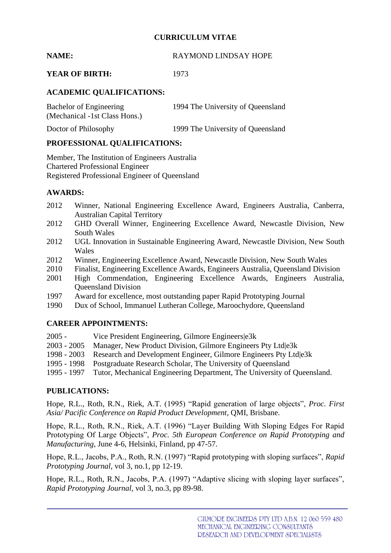## **CURRICULUM VITAE**

# **NAME:** RAYMOND LINDSAY HOPE

# **YEAR OF BIRTH:** 1973

# **ACADEMIC QUALIFICATIONS:**

| Bachelor of Engineering       | 1994 The University of Queensland |
|-------------------------------|-----------------------------------|
| (Mechanical -1st Class Hons.) |                                   |
| Doctor of Philosophy          | 1999 The University of Queensland |

### **PROFESSIONAL QUALIFICATIONS:**

Member, The Institution of Engineers Australia Chartered Professional Engineer Registered Professional Engineer of Queensland

### **AWARDS:**

- 2012 Winner, National Engineering Excellence Award, Engineers Australia, Canberra, Australian Capital Territory
- 2012 GHD Overall Winner, Engineering Excellence Award, Newcastle Division, New South Wales
- 2012 UGL Innovation in Sustainable Engineering Award, Newcastle Division, New South Wales
- 2012 Winner, Engineering Excellence Award, Newcastle Division, New South Wales
- 2010 Finalist, Engineering Excellence Awards, Engineers Australia, Queensland Division
- 2001 High Commendation, Engineering Excellence Awards, Engineers Australia, Queensland Division
- 1997 Award for excellence, most outstanding paper Rapid Prototyping Journal
- 1990 Dux of School, Immanuel Lutheran College, Maroochydore, Queensland

### **CAREER APPOINTMENTS:**

- 
- 2005 Vice President Engineering, Gilmore Engineers|e3k<br>2003 2005 Manager, New Product Division, Gilmore Engineers Manager, New Product Division, Gilmore Engineers Pty Ltd|e3k
- 1998 2003 Research and Development Engineer, Gilmore Engineers Pty Ltd|e3k
- 1995 1998 Postgraduate Research Scholar, The University of Queensland
- 1995 1997 Tutor, Mechanical Engineering Department, The University of Queensland.

### **PUBLICATIONS:**

Hope, R.L., Roth, R.N., Riek, A.T. (1995) "Rapid generation of large objects", *Proc. First Asia/ Pacific Conference on Rapid Product Development*, QMI, Brisbane.

Hope, R.L., Roth, R.N., Riek, A.T. (1996) "Layer Building With Sloping Edges For Rapid Prototyping Of Large Objects", *Proc. 5th European Conference on Rapid Prototyping and Manufacturing*, June 4-6, Helsinki, Finland, pp 47-57.

Hope, R.L., Jacobs, P.A., Roth, R.N. (1997) "Rapid prototyping with sloping surfaces", *Rapid Prototyping Journal*, vol 3, no.1, pp 12-19.

Hope, R.L., Roth, R.N., Jacobs, P.A. (1997) "Adaptive slicing with sloping layer surfaces", *Rapid Prototyping Journal*, vol 3, no.3, pp 89-98.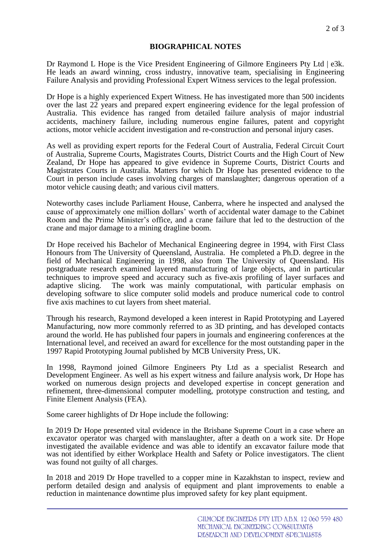### **BIOGRAPHICAL NOTES**

Dr Raymond L Hope is the Vice President Engineering of Gilmore Engineers Pty Ltd | e3k. He leads an award winning, cross industry, innovative team, specialising in Engineering Failure Analysis and providing Professional Expert Witness services to the legal profession.

Dr Hope is a highly experienced Expert Witness. He has investigated more than 500 incidents over the last 22 years and prepared expert engineering evidence for the legal profession of Australia. This evidence has ranged from detailed failure analysis of major industrial accidents, machinery failure, including numerous engine failures, patent and copyright actions, motor vehicle accident investigation and re-construction and personal injury cases.

As well as providing expert reports for the Federal Court of Australia, Federal Circuit Court of Australia, Supreme Courts, Magistrates Courts, District Courts and the High Court of New Zealand, Dr Hope has appeared to give evidence in Supreme Courts, District Courts and Magistrates Courts in Australia. Matters for which Dr Hope has presented evidence to the Court in person include cases involving charges of manslaughter; dangerous operation of a motor vehicle causing death; and various civil matters.

Noteworthy cases include Parliament House, Canberra, where he inspected and analysed the cause of approximately one million dollars' worth of accidental water damage to the Cabinet Room and the Prime Minister's office, and a crane failure that led to the destruction of the crane and major damage to a mining dragline boom.

Dr Hope received his Bachelor of Mechanical Engineering degree in 1994, with First Class Honours from The University of Queensland, Australia. He completed a Ph.D. degree in the field of Mechanical Engineering in 1998, also from The University of Queensland. His postgraduate research examined layered manufacturing of large objects, and in particular techniques to improve speed and accuracy such as five-axis profiling of layer surfaces and adaptive slicing. The work was mainly computational, with particular emphasis on developing software to slice computer solid models and produce numerical code to control five axis machines to cut layers from sheet material.

Through his research, Raymond developed a keen interest in Rapid Prototyping and Layered Manufacturing, now more commonly referred to as 3D printing, and has developed contacts around the world. He has published four papers in journals and engineering conferences at the International level, and received an award for excellence for the most outstanding paper in the 1997 Rapid Prototyping Journal published by MCB University Press, UK.

In 1998, Raymond joined Gilmore Engineers Pty Ltd as a specialist Research and Development Engineer. As well as his expert witness and failure analysis work, Dr Hope has worked on numerous design projects and developed expertise in concept generation and refinement, three-dimensional computer modelling, prototype construction and testing, and Finite Element Analysis (FEA).

Some career highlights of Dr Hope include the following:

In 2019 Dr Hope presented vital evidence in the Brisbane Supreme Court in a case where an excavator operator was charged with manslaughter, after a death on a work site. Dr Hope investigated the available evidence and was able to identify an excavator failure mode that was not identified by either Workplace Health and Safety or Police investigators. The client was found not guilty of all charges.

In 2018 and 2019 Dr Hope travelled to a copper mine in Kazakhstan to inspect, review and perform detailed design and analysis of equipment and plant improvements to enable a reduction in maintenance downtime plus improved safety for key plant equipment.